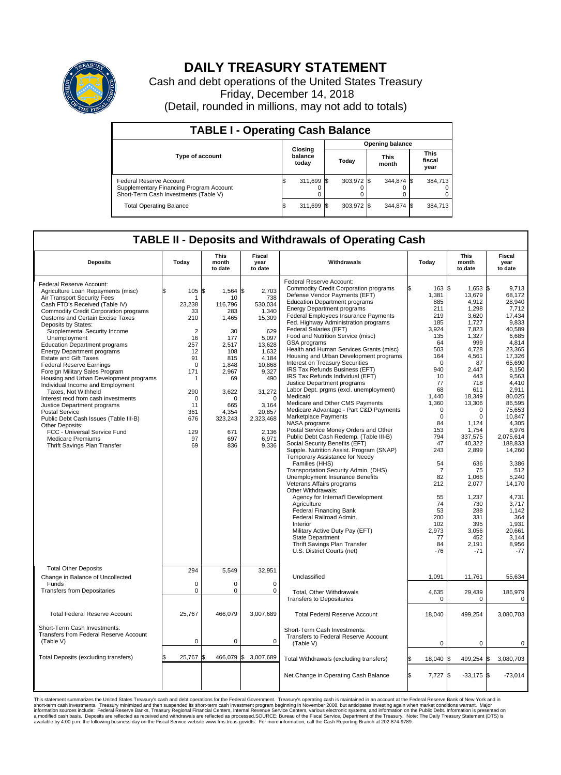

## **DAILY TREASURY STATEMENT**

Cash and debt operations of the United States Treasury Friday, December 14, 2018 (Detail, rounded in millions, may not add to totals)

| <b>TABLE I - Operating Cash Balance</b>                                                                     |  |                             |  |                        |  |                      |  |                               |  |
|-------------------------------------------------------------------------------------------------------------|--|-----------------------------|--|------------------------|--|----------------------|--|-------------------------------|--|
|                                                                                                             |  |                             |  | <b>Opening balance</b> |  |                      |  |                               |  |
| <b>Type of account</b>                                                                                      |  | Closing<br>balance<br>today |  | Today                  |  | <b>This</b><br>month |  | <b>This</b><br>fiscal<br>year |  |
| Federal Reserve Account<br>Supplementary Financing Program Account<br>Short-Term Cash Investments (Table V) |  | 311,699                     |  | 303,972 \$             |  | 344.874 \$           |  | 384,713                       |  |
| <b>Total Operating Balance</b>                                                                              |  | 311,699 \$                  |  | 303,972 \$             |  | 344,874 \$           |  | 384,713                       |  |

## **TABLE II - Deposits and Withdrawals of Operating Cash**

| <b>Deposits</b>                                                                                                                                                                                                                                                                                                                                                                                                                                                                                                                                                                                                                                                                                                                                                                                                                          | Today                                                                                                                                                       | <b>This</b><br>month<br>to date                                                                                                                                                  | <b>Fiscal</b><br>year<br>to date                                                                                                                                                                  | Withdrawals                                                                                                                                                                                                                                                                                                                                                                                                                                                                                                                                                                                                                                                                                                                                                                                                                                                                                                                                                                                                                                                                                                                                                                                                                                                                                                                                                              | Today                                                                                                                                                                                                                                                                                                        | <b>This</b><br>month<br>to date                                                                                                                                                                                                                                                                                             | Fiscal<br>year<br>to date                                                                                                                                                                                                                                                                                                                                          |
|------------------------------------------------------------------------------------------------------------------------------------------------------------------------------------------------------------------------------------------------------------------------------------------------------------------------------------------------------------------------------------------------------------------------------------------------------------------------------------------------------------------------------------------------------------------------------------------------------------------------------------------------------------------------------------------------------------------------------------------------------------------------------------------------------------------------------------------|-------------------------------------------------------------------------------------------------------------------------------------------------------------|----------------------------------------------------------------------------------------------------------------------------------------------------------------------------------|---------------------------------------------------------------------------------------------------------------------------------------------------------------------------------------------------|--------------------------------------------------------------------------------------------------------------------------------------------------------------------------------------------------------------------------------------------------------------------------------------------------------------------------------------------------------------------------------------------------------------------------------------------------------------------------------------------------------------------------------------------------------------------------------------------------------------------------------------------------------------------------------------------------------------------------------------------------------------------------------------------------------------------------------------------------------------------------------------------------------------------------------------------------------------------------------------------------------------------------------------------------------------------------------------------------------------------------------------------------------------------------------------------------------------------------------------------------------------------------------------------------------------------------------------------------------------------------|--------------------------------------------------------------------------------------------------------------------------------------------------------------------------------------------------------------------------------------------------------------------------------------------------------------|-----------------------------------------------------------------------------------------------------------------------------------------------------------------------------------------------------------------------------------------------------------------------------------------------------------------------------|--------------------------------------------------------------------------------------------------------------------------------------------------------------------------------------------------------------------------------------------------------------------------------------------------------------------------------------------------------------------|
| Federal Reserve Account:<br>Agriculture Loan Repayments (misc)<br>Air Transport Security Fees<br>Cash FTD's Received (Table IV)<br>Commodity Credit Corporation programs<br><b>Customs and Certain Excise Taxes</b><br>Deposits by States:<br>Supplemental Security Income<br>Unemployment<br><b>Education Department programs</b><br><b>Energy Department programs</b><br><b>Estate and Gift Taxes</b><br><b>Federal Reserve Earnings</b><br>Foreign Military Sales Program<br>Housing and Urban Development programs<br>Individual Income and Employment<br>Taxes. Not Withheld<br>Interest recd from cash investments<br>Justice Department programs<br><b>Postal Service</b><br>Public Debt Cash Issues (Table III-B)<br>Other Deposits:<br>FCC - Universal Service Fund<br><b>Medicare Premiums</b><br>Thrift Savings Plan Transfer | \$<br>105<br>1<br>23,238<br>33<br>210<br>$\overline{2}$<br>16<br>257<br>12<br>91<br>$\Omega$<br>171<br>1<br>290<br>0<br>11<br>361<br>676<br>129<br>97<br>69 | \$<br>1,564 \$<br>10<br>116.796<br>283<br>1,465<br>30<br>177<br>2,517<br>108<br>815<br>1.848<br>2,967<br>69<br>3,622<br>$\Omega$<br>665<br>4.354<br>323,243<br>671<br>697<br>836 | 2,703<br>738<br>530.034<br>1,340<br>15,309<br>629<br>5,097<br>13,628<br>1.632<br>4,184<br>10,868<br>9,327<br>490<br>31,272<br>$\Omega$<br>3,164<br>20.857<br>2,323,468<br>2,136<br>6,971<br>9,336 | Federal Reserve Account:<br><b>Commodity Credit Corporation programs</b><br>Defense Vendor Payments (EFT)<br><b>Education Department programs</b><br><b>Energy Department programs</b><br>Federal Employees Insurance Payments<br>Fed. Highway Administration programs<br>Federal Salaries (EFT)<br>Food and Nutrition Service (misc)<br>GSA programs<br>Health and Human Services Grants (misc)<br>Housing and Urban Development programs<br>Interest on Treasury Securities<br>IRS Tax Refunds Business (EFT)<br>IRS Tax Refunds Individual (EFT)<br>Justice Department programs<br>Labor Dept. prgms (excl. unemployment)<br>Medicaid<br>Medicare and Other CMS Payments<br>Medicare Advantage - Part C&D Payments<br>Marketplace Payments<br>NASA programs<br>Postal Service Money Orders and Other<br>Public Debt Cash Redemp. (Table III-B)<br>Social Security Benefits (EFT)<br>Supple. Nutrition Assist. Program (SNAP)<br>Temporary Assistance for Needy<br>Families (HHS)<br>Transportation Security Admin. (DHS)<br>Unemployment Insurance Benefits<br>Veterans Affairs programs<br>Other Withdrawals:<br>Agency for Internat'l Development<br>Agriculture<br><b>Federal Financing Bank</b><br>Federal Railroad Admin.<br>Interior<br>Military Active Duty Pay (EFT)<br><b>State Department</b><br>Thrift Savings Plan Transfer<br>U.S. District Courts (net) | ß.<br>163S<br>1,381<br>885<br>211<br>219<br>185<br>3.924<br>135<br>64<br>503<br>164<br>$\Omega$<br>940<br>10<br>77<br>68<br>1,440<br>1,360<br>$\mathbf 0$<br>$\mathbf 0$<br>84<br>153<br>794<br>47<br>243<br>54<br>$\overline{7}$<br>82<br>212<br>55<br>74<br>53<br>200<br>102<br>2,973<br>77<br>84<br>$-76$ | $1,653$ \$<br>13.679<br>4,912<br>1,298<br>3.620<br>1,727<br>7,823<br>1,327<br>999<br>4,728<br>4,561<br>87<br>2,447<br>443<br>718<br>611<br>18,349<br>13,306<br>0<br>0<br>1.124<br>1,754<br>337,575<br>40,322<br>2,899<br>636<br>75<br>1,066<br>2,077<br>1,237<br>730<br>288<br>331<br>395<br>3,056<br>452<br>2,191<br>$-71$ | 9,713<br>68.172<br>28,940<br>7,712<br>17.434<br>9,833<br>40.589<br>6,685<br>4,814<br>23,365<br>17.326<br>65,690<br>8,150<br>9,563<br>4.410<br>2,911<br>80.025<br>86.595<br>75,653<br>10,847<br>4.305<br>8,976<br>2,075,614<br>188,833<br>14,260<br>3.386<br>512<br>5.240<br>14,170<br>4,731<br>3,717<br>1.142<br>364<br>1.931<br>20,661<br>3.144<br>8,956<br>$-77$ |
| <b>Total Other Deposits</b><br>Change in Balance of Uncollected<br>Funds                                                                                                                                                                                                                                                                                                                                                                                                                                                                                                                                                                                                                                                                                                                                                                 | 294<br>$\Omega$                                                                                                                                             | 5,549<br>$\Omega$                                                                                                                                                                | 32,951<br>$\Omega$                                                                                                                                                                                | Unclassified                                                                                                                                                                                                                                                                                                                                                                                                                                                                                                                                                                                                                                                                                                                                                                                                                                                                                                                                                                                                                                                                                                                                                                                                                                                                                                                                                             | 1,091                                                                                                                                                                                                                                                                                                        | 11,761                                                                                                                                                                                                                                                                                                                      | 55,634                                                                                                                                                                                                                                                                                                                                                             |
| <b>Transfers from Depositaries</b>                                                                                                                                                                                                                                                                                                                                                                                                                                                                                                                                                                                                                                                                                                                                                                                                       | $\pmb{0}$                                                                                                                                                   | 0                                                                                                                                                                                | $\mathbf 0$                                                                                                                                                                                       | Total, Other Withdrawals<br><b>Transfers to Depositaries</b>                                                                                                                                                                                                                                                                                                                                                                                                                                                                                                                                                                                                                                                                                                                                                                                                                                                                                                                                                                                                                                                                                                                                                                                                                                                                                                             | 4,635<br>$\mathbf 0$                                                                                                                                                                                                                                                                                         | 29,439<br>$\mathbf 0$                                                                                                                                                                                                                                                                                                       | 186,979<br>$\mathbf 0$                                                                                                                                                                                                                                                                                                                                             |
| <b>Total Federal Reserve Account</b>                                                                                                                                                                                                                                                                                                                                                                                                                                                                                                                                                                                                                                                                                                                                                                                                     | 25,767                                                                                                                                                      | 466,079                                                                                                                                                                          | 3,007,689                                                                                                                                                                                         | <b>Total Federal Reserve Account</b>                                                                                                                                                                                                                                                                                                                                                                                                                                                                                                                                                                                                                                                                                                                                                                                                                                                                                                                                                                                                                                                                                                                                                                                                                                                                                                                                     | 18,040                                                                                                                                                                                                                                                                                                       | 499,254                                                                                                                                                                                                                                                                                                                     | 3,080,703                                                                                                                                                                                                                                                                                                                                                          |
| Short-Term Cash Investments:<br>Transfers from Federal Reserve Account<br>(Table V)                                                                                                                                                                                                                                                                                                                                                                                                                                                                                                                                                                                                                                                                                                                                                      | $\pmb{0}$                                                                                                                                                   | 0                                                                                                                                                                                | 0                                                                                                                                                                                                 | Short-Term Cash Investments:<br>Transfers to Federal Reserve Account<br>(Table V)                                                                                                                                                                                                                                                                                                                                                                                                                                                                                                                                                                                                                                                                                                                                                                                                                                                                                                                                                                                                                                                                                                                                                                                                                                                                                        | 0                                                                                                                                                                                                                                                                                                            | 0                                                                                                                                                                                                                                                                                                                           | 0                                                                                                                                                                                                                                                                                                                                                                  |
| Total Deposits (excluding transfers)                                                                                                                                                                                                                                                                                                                                                                                                                                                                                                                                                                                                                                                                                                                                                                                                     | 25,767                                                                                                                                                      | 466,079 \$                                                                                                                                                                       | 3,007,689                                                                                                                                                                                         | Total Withdrawals (excluding transfers)                                                                                                                                                                                                                                                                                                                                                                                                                                                                                                                                                                                                                                                                                                                                                                                                                                                                                                                                                                                                                                                                                                                                                                                                                                                                                                                                  | 18,040 \$                                                                                                                                                                                                                                                                                                    | 499,254 \$                                                                                                                                                                                                                                                                                                                  | 3,080,703                                                                                                                                                                                                                                                                                                                                                          |
|                                                                                                                                                                                                                                                                                                                                                                                                                                                                                                                                                                                                                                                                                                                                                                                                                                          |                                                                                                                                                             |                                                                                                                                                                                  |                                                                                                                                                                                                   | Net Change in Operating Cash Balance                                                                                                                                                                                                                                                                                                                                                                                                                                                                                                                                                                                                                                                                                                                                                                                                                                                                                                                                                                                                                                                                                                                                                                                                                                                                                                                                     | Ŝ.<br>$7,727$ \$                                                                                                                                                                                                                                                                                             | $-33,175$ \$                                                                                                                                                                                                                                                                                                                | $-73,014$                                                                                                                                                                                                                                                                                                                                                          |

This statement summarizes the United States Treasury's cash and debt operations for the Federal Government. Treasury soperating in November 2008, but anticiarded in a cocount at the Federal Reserve Bank of New York and in<br>